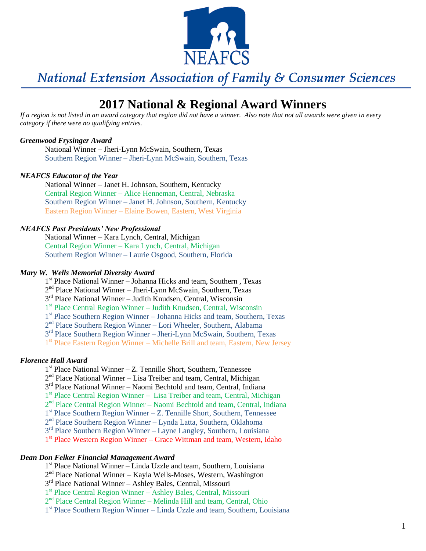

## **2017 National & Regional Award Winners**

*If a region is not listed in an award category that region did not have a winner. Also note that not all awards were given in every category if there were no qualifying entries.*

## *Greenwood Frysinger Award*

National Winner – Jheri-Lynn McSwain, Southern, Texas Southern Region Winner – Jheri-Lynn McSwain, Southern, Texas

## *NEAFCS Educator of the Year*

National Winner – Janet H. Johnson, Southern, Kentucky Central Region Winner – Alice Henneman, Central, Nebraska Southern Region Winner – Janet H. Johnson, Southern, Kentucky Eastern Region Winner – Elaine Bowen, Eastern, West Virginia

## *NEAFCS Past Presidents' New Professional*

National Winner – Kara Lynch, Central, Michigan Central Region Winner – Kara Lynch, Central, Michigan Southern Region Winner – Laurie Osgood, Southern, Florida

## *Mary W. Wells Memorial Diversity Award*

- 1<sup>st</sup> Place National Winner Johanna Hicks and team, Southern, Texas
- 2<sup>nd</sup> Place National Winner Jheri-Lynn McSwain, Southern, Texas
- 3<sup>rd</sup> Place National Winner Judith Knudsen, Central, Wisconsin
- 1<sup>st</sup> Place Central Region Winner Judith Knudsen, Central, Wisconsin
- 1<sup>st</sup> Place Southern Region Winner Johanna Hicks and team, Southern, Texas
- 2<sup>nd</sup> Place Southern Region Winner Lori Wheeler, Southern, Alabama
- 3<sup>rd</sup> Place Southern Region Winner Jheri-Lynn McSwain, Southern, Texas
- 1<sup>st</sup> Place Eastern Region Winner Michelle Brill and team, Eastern, New Jersey

## *Florence Hall Award*

- 1 st Place National Winner Z. Tennille Short, Southern, Tennessee
- 2<sup>nd</sup> Place National Winner Lisa Treiber and team, Central, Michigan
- 3<sup>rd</sup> Place National Winner Naomi Bechtold and team, Central, Indiana
- 1<sup>st</sup> Place Central Region Winner Lisa Treiber and team, Central, Michigan
- 2<sup>nd</sup> Place Central Region Winner Naomi Bechtold and team, Central, Indiana
- 1<sup>st</sup> Place Southern Region Winner Z. Tennille Short, Southern, Tennessee
- 2<sup>nd</sup> Place Southern Region Winner Lynda Latta, Southern, Oklahoma
- 3<sup>rd</sup> Place Southern Region Winner Layne Langley, Southern, Louisiana
- 1<sup>st</sup> Place Western Region Winner Grace Wittman and team, Western, Idaho

### *Dean Don Felker Financial Management Award*

- 1<sup>st</sup> Place National Winner Linda Uzzle and team, Southern, Louisiana
- 2<sup>nd</sup> Place National Winner Kayla Wells-Moses, Western, Washington
- 3<sup>rd</sup> Place National Winner Ashley Bales, Central, Missouri
- 1 st Place Central Region Winner Ashley Bales, Central, Missouri
- 2<sup>nd</sup> Place Central Region Winner Melinda Hill and team, Central, Ohio
- 1<sup>st</sup> Place Southern Region Winner Linda Uzzle and team, Southern, Louisiana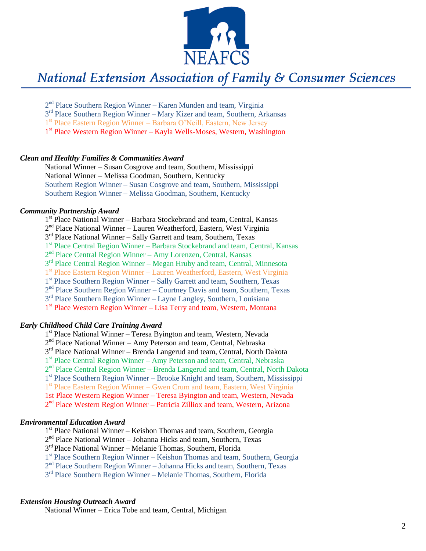

- 2<sup>nd</sup> Place Southern Region Winner Karen Munden and team, Virginia
- 3<sup>rd</sup> Place Southern Region Winner Mary Kizer and team, Southern, Arkansas
- 1<sup>st</sup> Place Eastern Region Winner Barbara O'Neill, Eastern, New Jersey
- 1<sup>st</sup> Place Western Region Winner Kayla Wells-Moses, Western, Washington

### *Clean and Healthy Families & Communities Award*

National Winner – Susan Cosgrove and team, Southern, Mississippi National Winner – Melissa Goodman, Southern, Kentucky Southern Region Winner – Susan Cosgrove and team, Southern, Mississippi Southern Region Winner – Melissa Goodman, Southern, Kentucky

## *Community Partnership Award*

- 1<sup>st</sup> Place National Winner Barbara Stockebrand and team, Central, Kansas
- 2<sup>nd</sup> Place National Winner Lauren Weatherford, Eastern, West Virginia
- 3<sup>rd</sup> Place National Winner Sally Garrett and team, Southern, Texas
	- 1<sup>st</sup> Place Central Region Winner Barbara Stockebrand and team, Central, Kansas
	- 2<sup>nd</sup> Place Central Region Winner Amy Lorenzen, Central, Kansas
	- 3<sup>rd</sup> Place Central Region Winner Megan Hruby and team, Central, Minnesota
	- 1 st Place Eastern Region Winner Lauren Weatherford, Eastern, West Virginia
	- 1<sup>st</sup> Place Southern Region Winner Sally Garrett and team, Southern, Texas
	- 2<sup>nd</sup> Place Southern Region Winner Courtney Davis and team, Southern, Texas
	- 3<sup>rd</sup> Place Southern Region Winner Layne Langley, Southern, Louisiana
	- 1<sup>st</sup> Place Western Region Winner Lisa Terry and team, Western, Montana

## *Early Childhood Child Care Training Award*

1<sup>st</sup> Place National Winner - Teresa Byington and team, Western, Nevada

- 2<sup>nd</sup> Place National Winner Amy Peterson and team, Central, Nebraska
- 3<sup>rd</sup> Place National Winner Brenda Langerud and team, Central, North Dakota
- 1<sup>st</sup> Place Central Region Winner Amy Peterson and team, Central, Nebraska
- 2<sup>nd</sup> Place Central Region Winner Brenda Langerud and team, Central, North Dakota
- 1<sup>st</sup> Place Southern Region Winner Brooke Knight and team, Southern, Mississippi
- 1<sup>st</sup> Place Eastern Region Winner Gwen Crum and team, Eastern, West Virginia
- 1st Place Western Region Winner Teresa Byington and team, Western, Nevada
- 2<sup>nd</sup> Place Western Region Winner Patricia Zilliox and team, Western, Arizona

#### *Environmental Education Award*

- 1<sup>st</sup> Place National Winner Keishon Thomas and team, Southern, Georgia
- 2<sup>nd</sup> Place National Winner Johanna Hicks and team, Southern, Texas
- 3<sup>rd</sup> Place National Winner Melanie Thomas, Southern, Florida
- 1<sup>st</sup> Place Southern Region Winner Keishon Thomas and team, Southern, Georgia
- 2<sup>nd</sup> Place Southern Region Winner Johanna Hicks and team, Southern, Texas
- 3<sup>rd</sup> Place Southern Region Winner Melanie Thomas, Southern, Florida

## *Extension Housing Outreach Award*

National Winner – Erica Tobe and team, Central, Michigan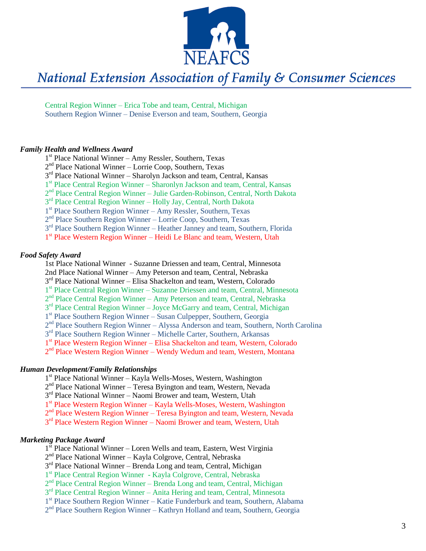

Central Region Winner – Erica Tobe and team, Central, Michigan Southern Region Winner – Denise Everson and team, Southern, Georgia

## *Family Health and Wellness Award*

- 1 st Place National Winner Amy Ressler, Southern, Texas
- 2<sup>nd</sup> Place National Winner Lorrie Coop, Southern, Texas
- 3<sup>rd</sup> Place National Winner Sharolyn Jackson and team, Central, Kansas
- 1<sup>st</sup> Place Central Region Winner Sharonlyn Jackson and team, Central, Kansas
- 2<sup>nd</sup> Place Central Region Winner Julie Garden-Robinson, Central, North Dakota
- 3<sup>rd</sup> Place Central Region Winner Holly Jay, Central, North Dakota
- 1 st Place Southern Region Winner Amy Ressler, Southern, Texas
- 2<sup>nd</sup> Place Southern Region Winner Lorrie Coop, Southern, Texas
- 3<sup>rd</sup> Place Southern Region Winner Heather Janney and team, Southern, Florida
- 1<sup>st</sup> Place Western Region Winner Heidi Le Blanc and team, Western, Utah

#### *Food Safety Award*

- 1st Place National Winner Suzanne Driessen and team, Central, Minnesota
- 2nd Place National Winner Amy Peterson and team, Central, Nebraska
- 3<sup>rd</sup> Place National Winner Elisa Shackelton and team, Western, Colorado
- 1<sup>st</sup> Place Central Region Winner Suzanne Driessen and team, Central, Minnesota
- 2<sup>nd</sup> Place Central Region Winner Amy Peterson and team, Central, Nebraska
- 3<sup>rd</sup> Place Central Region Winner Joyce McGarry and team, Central, Michigan
- 1<sup>st</sup> Place Southern Region Winner Susan Culpepper, Southern, Georgia
- 2<sup>nd</sup> Place Southern Region Winner Alyssa Anderson and team, Southern, North Carolina
- 3<sup>rd</sup> Place Southern Region Winner Michelle Carter, Southern, Arkansas
- 1<sup>st</sup> Place Western Region Winner Elisa Shackelton and team, Western, Colorado
- 2<sup>nd</sup> Place Western Region Winner Wendy Wedum and team, Western, Montana

### *Human Development/Family Relationships*

- 1 st Place National Winner Kayla Wells-Moses, Western, Washington
- $2<sup>nd</sup>$  Place National Winner Teresa Byington and team, Western, Nevada
- 3<sup>rd</sup> Place National Winner Naomi Brower and team, Western, Utah
- 1 st Place Western Region Winner Kayla Wells-Moses, Western, Washington
- 2<sup>nd</sup> Place Western Region Winner Teresa Byington and team, Western, Nevada
- 3<sup>rd</sup> Place Western Region Winner Naomi Brower and team, Western, Utah

## *Marketing Package Award*

- 1<sup>st</sup> Place National Winner Loren Wells and team, Eastern, West Virginia
- 2<sup>nd</sup> Place National Winner Kayla Colgrove, Central, Nebraska
- 3<sup>rd</sup> Place National Winner Brenda Long and team, Central, Michigan
- 1 st Place Central Region Winner Kayla Colgrove, Central, Nebraska
- 2<sup>nd</sup> Place Central Region Winner Brenda Long and team, Central, Michigan
- 3<sup>rd</sup> Place Central Region Winner Anita Hering and team, Central, Minnesota
- 1<sup>st</sup> Place Southern Region Winner Katie Funderburk and team, Southern, Alabama
- 2<sup>nd</sup> Place Southern Region Winner Kathryn Holland and team, Southern, Georgia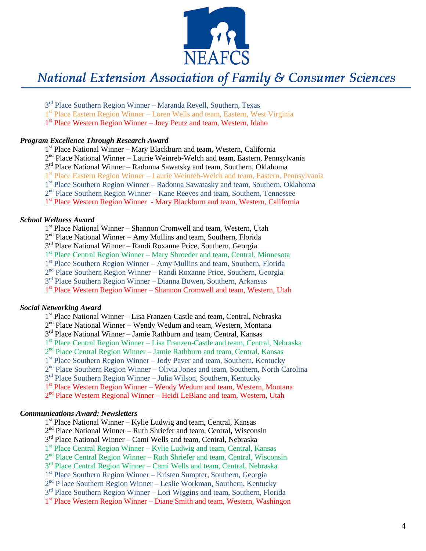

- 3<sup>rd</sup> Place Southern Region Winner Maranda Revell, Southern, Texas
- 1<sup>st</sup> Place Eastern Region Winner Loren Wells and team, Eastern, West Virginia
- 1<sup>st</sup> Place Western Region Winner Joey Peutz and team, Western, Idaho

## *Program Excellence Through Research Award*

1<sup>st</sup> Place National Winner - Mary Blackburn and team, Western, California

2<sup>nd</sup> Place National Winner – Laurie Weinreb-Welch and team, Eastern, Pennsylvania

3<sup>rd</sup> Place National Winner – Radonna Sawatsky and team, Southern, Oklahoma

1<sup>st</sup> Place Eastern Region Winner - Laurie Weinreb-Welch and team, Eastern, Pennsylvania

1<sup>st</sup> Place Southern Region Winner – Radonna Sawatasky and team, Southern, Oklahoma

2<sup>nd</sup> Place Southern Region Winner – Kane Reeves and team, Southern, Tennessee

1<sup>st</sup> Place Western Region Winner - Mary Blackburn and team, Western, California

## *School Wellness Award*

1<sup>st</sup> Place National Winner - Shannon Cromwell and team, Western, Utah

2<sup>nd</sup> Place National Winner – Amy Mullins and team, Southern, Florida

3<sup>rd</sup> Place National Winner – Randi Roxanne Price, Southern, Georgia

1<sup>st</sup> Place Central Region Winner – Mary Shroeder and team, Central, Minnesota

1<sup>st</sup> Place Southern Region Winner - Amy Mullins and team, Southern, Florida

2<sup>nd</sup> Place Southern Region Winner – Randi Roxanne Price, Southern, Georgia

3<sup>rd</sup> Place Southern Region Winner – Dianna Bowen, Southern, Arkansas

1<sup>st</sup> Place Western Region Winner - Shannon Cromwell and team, Western, Utah

### *Social Networking Award*

1<sup>st</sup> Place National Winner - Lisa Franzen-Castle and team, Central, Nebraska

2<sup>nd</sup> Place National Winner – Wendy Wedum and team, Western, Montana

3<sup>rd</sup> Place National Winner – Jamie Rathburn and team, Central, Kansas

1<sup>st</sup> Place Central Region Winner - Lisa Franzen-Castle and team, Central, Nebraska

2<sup>nd</sup> Place Central Region Winner – Jamie Rathburn and team, Central, Kansas

1<sup>st</sup> Place Southern Region Winner - Jody Paver and team, Southern, Kentucky

2<sup>nd</sup> Place Southern Region Winner – Olivia Jones and team, Southern, North Carolina

3<sup>rd</sup> Place Southern Region Winner – Julia Wilson, Southern, Kentucky

1<sup>st</sup> Place Western Region Winner – Wendy Wedum and team, Western, Montana

2<sup>nd</sup> Place Western Regional Winner – Heidi LeBlanc and team, Western, Utah

## *Communications Award: Newsletters*

1<sup>st</sup> Place National Winner - Kylie Ludwig and team, Central, Kansas

2<sup>nd</sup> Place National Winner – Ruth Shriefer and team, Central, Wisconsin

3<sup>rd</sup> Place National Winner – Cami Wells and team, Central, Nebraska

1<sup>st</sup> Place Central Region Winner – Kylie Ludwig and team, Central, Kansas

2<sup>nd</sup> Place Central Region Winner – Ruth Shriefer and team, Central, Wisconsin

3<sup>rd</sup> Place Central Region Winner – Cami Wells and team, Central, Nebraska

1<sup>st</sup> Place Southern Region Winner - Kristen Sumpter, Southern, Georgia

2<sup>nd</sup> P lace Southern Region Winner – Leslie Workman, Southern, Kentucky

3<sup>rd</sup> Place Southern Region Winner – Lori Wiggins and team, Southern, Florida

1<sup>st</sup> Place Western Region Winner – Diane Smith and team, Western, Washingon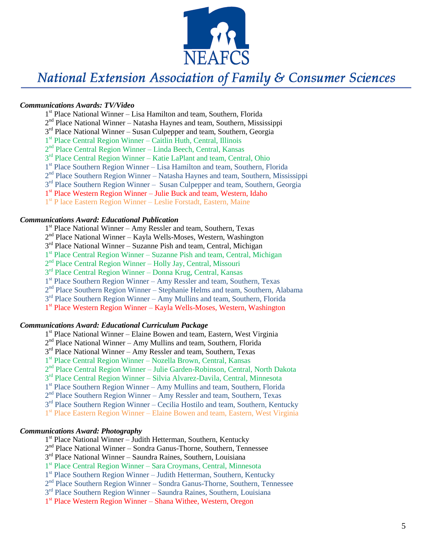

## *Communications Awards: TV/Video*

- 1<sup>st</sup> Place National Winner Lisa Hamilton and team, Southern, Florida
- $2<sup>nd</sup>$  Place National Winner Natasha Haynes and team, Southern, Mississippi
- 3<sup>rd</sup> Place National Winner Susan Culpepper and team, Southern, Georgia
- 1 st Place Central Region Winner Caitlin Huth, Central, Illinois
- 2 nd Place Central Region Winner Linda Beech, Central, Kansas
- 3<sup>rd</sup> Place Central Region Winner Katie LaPlant and team, Central, Ohio
- 1<sup>st</sup> Place Southern Region Winner Lisa Hamilton and team, Southern, Florida
- 2<sup>nd</sup> Place Southern Region Winner Natasha Haynes and team, Southern, Mississippi
- 3<sup>rd</sup> Place Southern Region Winner Susan Culpepper and team, Southern, Georgia
- 1<sup>st</sup> Place Western Region Winner Julie Buck and team, Western, Idaho
- 1 st P lace Eastern Region Winner Leslie Forstadt, Eastern, Maine

## *Communications Award: Educational Publication*

- 1<sup>st</sup> Place National Winner Amy Ressler and team, Southern, Texas
- 2<sup>nd</sup> Place National Winner Kayla Wells-Moses, Western, Washington
- 3<sup>rd</sup> Place National Winner Suzanne Pish and team, Central, Michigan
- 1<sup>st</sup> Place Central Region Winner Suzanne Pish and team, Central, Michigan
- 2<sup>nd</sup> Place Central Region Winner Holly Jay, Central, Missouri
- 3<sup>rd</sup> Place Central Region Winner Donna Krug, Central, Kansas
- 1<sup>st</sup> Place Southern Region Winner Amy Ressler and team, Southern, Texas
- 2<sup>nd</sup> Place Southern Region Winner Stephanie Helms and team, Southern, Alabama
- 3<sup>rd</sup> Place Southern Region Winner Amy Mullins and team, Southern, Florida
- 1<sup>st</sup> Place Western Region Winner Kayla Wells-Moses, Western, Washington

## *Communications Award: Educational Curriculum Package*

- 1<sup>st</sup> Place National Winner Elaine Bowen and team, Eastern, West Virginia
- 2<sup>nd</sup> Place National Winner Amy Mullins and team, Southern, Florida
- 3<sup>rd</sup> Place National Winner Amy Ressler and team, Southern, Texas
- 1 st Place Central Region Winner Nozella Brown, Central, Kansas
- 2<sup>nd</sup> Place Central Region Winner Julie Garden-Robinson, Central, North Dakota
- 3<sup>rd</sup> Place Central Region Winner Silvia Alvarez-Davila, Central, Minnesota
- 1<sup>st</sup> Place Southern Region Winner Amy Mullins and team, Southern, Florida
- 2<sup>nd</sup> Place Southern Region Winner Amy Ressler and team, Southern, Texas
- 3<sup>rd</sup> Place Southern Region Winner Cecilia Hostilo and team, Southern, Kentucky
- 1<sup>st</sup> Place Eastern Region Winner Elaine Bowen and team, Eastern, West Virginia

## *Communications Award: Photography*

- 1<sup>st</sup> Place National Winner Judith Hetterman, Southern, Kentucky
- 2<sup>nd</sup> Place National Winner Sondra Ganus-Thorne, Southern, Tennessee
- 3<sup>rd</sup> Place National Winner Saundra Raines, Southern, Louisiana
- 1<sup>st</sup> Place Central Region Winner Sara Croymans, Central, Minnesota
- 1<sup>st</sup> Place Southern Region Winner Judith Hetterman, Southern, Kentucky
- 2<sup>nd</sup> Place Southern Region Winner Sondra Ganus-Thorne, Southern, Tennessee
- 3<sup>rd</sup> Place Southern Region Winner Saundra Raines, Southern, Louisiana
- 1 st Place Western Region Winner Shana Withee, Western, Oregon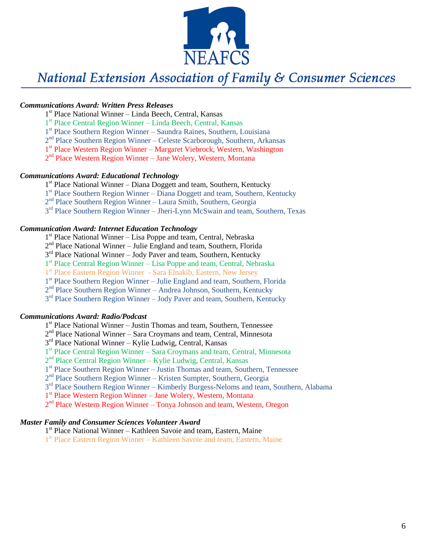

## *Communications Award: Written Press Releases*

- 1 st Place National Winner Linda Beech, Central, Kansas
- 1 st Place Central Region Winner Linda Beech, Central, Kansas
- 1<sup>st</sup> Place Southern Region Winner Saundra Raines, Southern, Louisiana
- 2<sup>nd</sup> Place Southern Region Winner Celeste Scarborough, Southern, Arkansas
- 1<sup>st</sup> Place Western Region Winner Margaret Viebrock, Western, Washington
- 2<sup>nd</sup> Place Western Region Winner Jane Wolery, Western, Montana

## *Communications Award: Educational Technology*

1<sup>st</sup> Place National Winner – Diana Doggett and team, Southern, Kentucky

- 1<sup>st</sup> Place Southern Region Winner Diana Doggett and team, Southern, Kentucky
- 2 nd Place Southern Region Winner Laura Smith, Southern, Georgia
- 3<sup>rd</sup> Place Southern Region Winner Jheri-Lynn McSwain and team, Southern, Texas

#### *Communication Award: Internet Education Technology*

- 1<sup>st</sup> Place National Winner Lisa Poppe and team, Central, Nebraska
- $2<sup>nd</sup>$  Place National Winner Julie England and team, Southern, Florida
- 3<sup>rd</sup> Place National Winner Jody Paver and team, Southern, Kentucky
- 1<sup>st</sup> Place Central Region Winner Lisa Poppe and team, Central, Nebraska
- 1 st Place Eastern Region Winner Sara Elnakib, Eastern, New Jersey
- 1<sup>st</sup> Place Southern Region Winner Julie England and team, Southern, Florida
- 2<sup>nd</sup> Place Southern Region Winner Andrea Johnson, Southern, Kentucky
- 3<sup>rd</sup> Place Southern Region Winner Jody Paver and team, Southern, Kentucky

### *Communications Award: Radio/Podcast*

- 1<sup>st</sup> Place National Winner Justin Thomas and team, Southern, Tennessee
- 2<sup>nd</sup> Place National Winner Sara Croymans and team, Central, Minnesota
- 3<sup>rd</sup> Place National Winner Kylie Ludwig, Central, Kansas
- 1<sup>st</sup> Place Central Region Winner Sara Croymans and team, Central, Minnesota
- 2<sup>nd</sup> Place Central Region Winner Kylie Ludwig, Central, Kansas
- 1<sup>st</sup> Place Southern Region Winner Justin Thomas and team, Southern, Tennessee
- 2<sup>nd</sup> Place Southern Region Winner Kristen Sumpter, Southern, Georgia
- 3<sup>rd</sup> Place Southern Region Winner Kimberly Burgess-Neloms and team, Southern, Alabama
- 1<sup>st</sup> Place Western Region Winner Jane Wolery, Western, Montana
- 2<sup>nd</sup> Place Western Region Winner Tonya Johnson and team, Western, Oregon

## *Master Family and Consumer Sciences Volunteer Award*

- 1<sup>st</sup> Place National Winner Kathleen Savoie and team, Eastern, Maine
- 1<sup>st</sup> Place Eastern Region Winner Kathleen Savoie and team, Eastern, Maine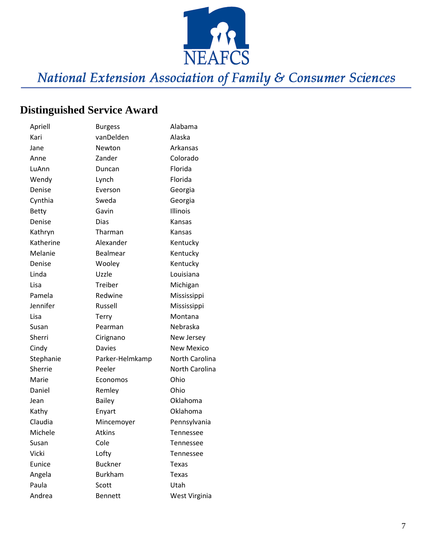

## **Distinguished Service Award**

| Apriell        | <b>Burgess</b>  | Alabama           |
|----------------|-----------------|-------------------|
| Kari           | vanDelden       | Alaska            |
| Jane           | Newton          | Arkansas          |
| Anne           | Zander          | Colorado          |
| LuAnn          | Duncan          | Florida           |
| Wendy          | Lynch           | Florida           |
| Denise         | Everson         | Georgia           |
| Cynthia        | Sweda           | Georgia           |
| <b>Betty</b>   | Gavin           | Illinois          |
| Denise         | <b>Dias</b>     | Kansas            |
| Kathryn        | Tharman         | Kansas            |
| Katherine      | Alexander       | Kentucky          |
| Melanie        | Bealmear        | Kentucky          |
| Denise         | Wooley          | Kentucky          |
| Linda          | Uzzle           | Louisiana         |
| Lisa           | Treiber         | Michigan          |
| Pamela         | Redwine         | Mississippi       |
| Jennifer       | Russell         | Mississippi       |
| Lisa           | <b>Terry</b>    | Montana           |
| Susan          | Pearman         | Nebraska          |
| Sherri         | Cirignano       | New Jersey        |
| Cindy          | <b>Davies</b>   | <b>New Mexico</b> |
| Stephanie      | Parker-Helmkamp | North Carolina    |
| <b>Sherrie</b> | Peeler          | North Carolina    |
| Marie          | Economos        | Ohio              |
| Daniel         | Remley          | Ohio              |
| Jean           | <b>Bailey</b>   | Oklahoma          |
| Kathy          | Enyart          | Oklahoma          |
| Claudia        | Mincemoyer      | Pennsylvania      |
| Michele        | <b>Atkins</b>   | Tennessee         |
| Susan          | Cole            | Tennessee         |
| Vicki          | Lofty           | Tennessee         |
| Eunice         | <b>Buckner</b>  | Texas             |
| Angela         | <b>Burkham</b>  | <b>Texas</b>      |
| Paula          | Scott           | Utah              |
| Andrea         | <b>Bennett</b>  | West Virginia     |